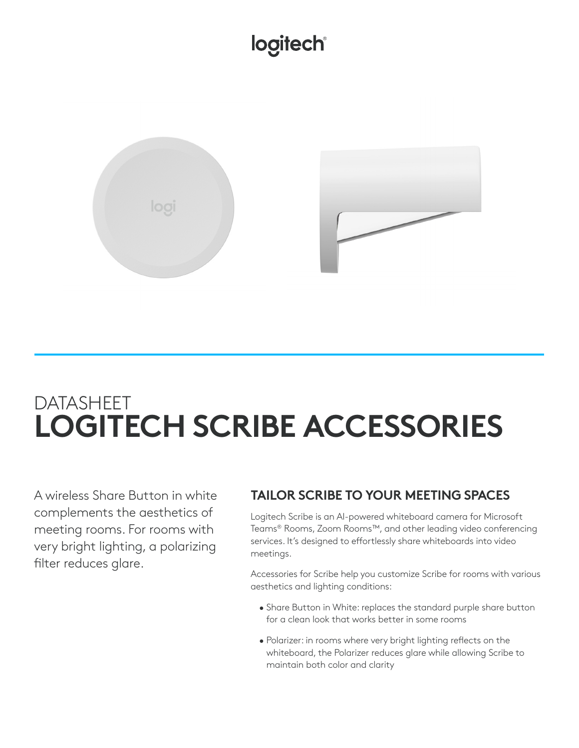# logitech®



# DATASHEET **LOGITECH SCRIBE ACCESSORIES**

A wireless Share Button in white complements the aesthetics of meeting rooms. For rooms with very bright lighting, a polarizing filter reduces glare.

## **TAILOR SCRIBE TO YOUR MEETING SPACES**

Logitech Scribe is an AI-powered whiteboard camera for Microsoft Teams® Rooms, Zoom Rooms™, and other leading video conferencing services. It's designed to effortlessly share whiteboards into video meetings.

Accessories for Scribe help you customize Scribe for rooms with various aesthetics and lighting conditions:

- Share Button in White: replaces the standard purple share button for a clean look that works better in some rooms
- Polarizer: in rooms where very bright lighting reflects on the whiteboard, the Polarizer reduces glare while allowing Scribe to maintain both color and clarity